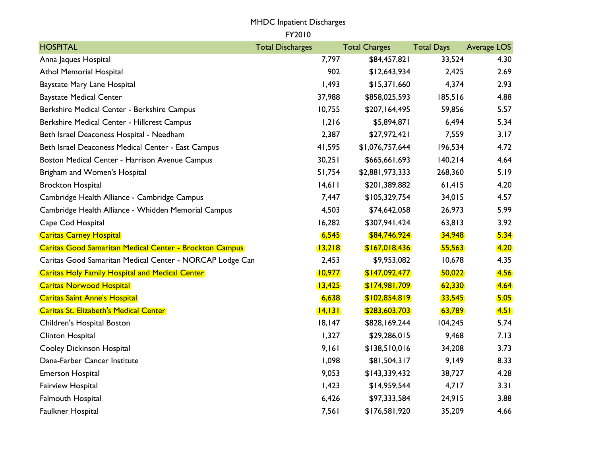## MHDC Inpatient Discharges

FY2010

| <b>HOSPITAL</b>                                                | <b>Total Discharges</b> |         | <b>Total Charges</b> | <b>Total Days</b> | Average LOS      |
|----------------------------------------------------------------|-------------------------|---------|----------------------|-------------------|------------------|
| Anna Jaques Hospital                                           |                         | 7,797   | \$84,457,821         | 33,524            | 4.30             |
| <b>Athol Memorial Hospital</b>                                 |                         | 902     | \$12,643,934         | 2,425             | 2.69             |
| Baystate Mary Lane Hospital                                    |                         | 1,493   | \$15,371,660         | 4,374             | 2.93             |
| <b>Baystate Medical Center</b>                                 |                         | 37,988  | \$858,025,593        | 185,516           | 4.88             |
| Berkshire Medical Center - Berkshire Campus                    |                         | 10,755  | \$207,164,495        | 59,856            | 5.57             |
| Berkshire Medical Center - Hillcrest Campus                    |                         | 1,216   | \$5,894,871          | 6,494             | 5.34             |
| Beth Israel Deaconess Hospital - Needham                       |                         | 2,387   | \$27,972,421         | 7,559             | 3.17             |
| Beth Israel Deaconess Medical Center - East Campus             |                         | 41,595  | \$1,076,757,644      | 196,534           | 4.72             |
| Boston Medical Center - Harrison Avenue Campus                 |                         | 30,251  | \$665,661,693        | 140,214           | 4.64             |
| Brigham and Women's Hospital                                   |                         | 51,754  | \$2,881,973,333      | 268,360           | 5.19             |
| <b>Brockton Hospital</b>                                       |                         | 14,611  | \$201,389,882        | 61,415            | 4.20             |
| Cambridge Health Alliance - Cambridge Campus                   |                         | 7,447   | \$105,329,754        | 34,015            | 4.57             |
| Cambridge Health Alliance - Whidden Memorial Campus            |                         | 4,503   | \$74,642,058         | 26,973            | 5.99             |
| Cape Cod Hospital                                              |                         | 16,282  | \$307,941,424        | 63,813            | 3.92             |
| <b>Caritas Carney Hospital</b>                                 |                         | 6,545   | \$84,746,924         | 34,948            | 5.34             |
| <b>Caritas Good Samaritan Medical Center - Brockton Campus</b> |                         | 13,218  | \$167,018,436        | 55,563            | 4.20             |
| Caritas Good Samaritan Medical Center - NORCAP Lodge Can       |                         | 2,453   | \$9,953,082          | 10,678            | 4.35             |
| <b>Caritas Holy Family Hospital and Medical Center</b>         |                         | 10,977  | \$147,092,477        | 50,022            | 4.56             |
| <b>Caritas Norwood Hospital</b>                                |                         | 13,425  | \$174,981,709        | 62,330            | 4.64             |
| <b>Caritas Saint Anne's Hospital</b>                           |                         | 6,638   | \$102,854,819        | 33,545            | 5.05             |
| Caritas St. Elizabeth's Medical Center                         |                         | 14, 131 | \$283,603,703        | 63,789            | 4.5 <sub>h</sub> |
| Children's Hospital Boston                                     |                         | 18,147  | \$828,169,244        | 104,245           | 5.74             |
| Clinton Hospital                                               |                         | 1,327   | \$29,286,015         | 9,468             | 7.13             |
| <b>Cooley Dickinson Hospital</b>                               |                         | 9,161   | \$138,510,016        | 34,208            | 3.73             |
| Dana-Farber Cancer Institute                                   |                         | 1,098   | \$81,504,317         | 9,149             | 8.33             |
| <b>Emerson Hospital</b>                                        |                         | 9,053   | \$143,339,432        | 38,727            | 4.28             |
| Fairview Hospital                                              |                         | 1,423   | \$14,959,544         | 4,717             | 3.31             |
| <b>Falmouth Hospital</b>                                       |                         | 6,426   | \$97,333,584         | 24,915            | 3.88             |
| Faulkner Hospital                                              |                         | 7,561   | \$176,581,920        | 35,209            | 4.66             |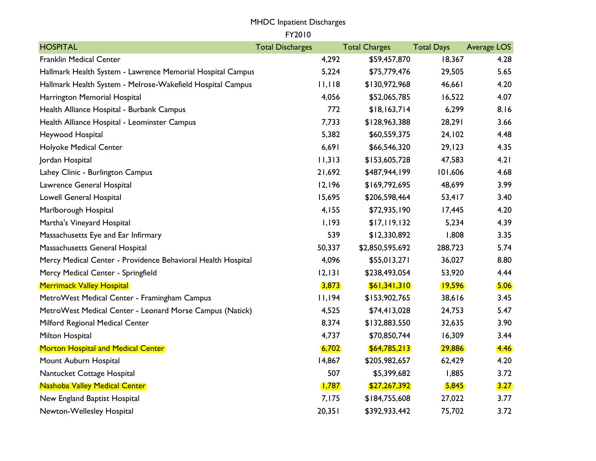## MHDC Inpatient Discharges

FY2010

| <b>HOSPITAL</b>                                              | <b>Total Discharges</b> | <b>Total Charges</b> | <b>Total Days</b> | Average LOS |
|--------------------------------------------------------------|-------------------------|----------------------|-------------------|-------------|
| <b>Franklin Medical Center</b>                               | 4,292                   | \$59,457,870         | 18,367            | 4.28        |
| Hallmark Health System - Lawrence Memorial Hospital Campus   | 5,224                   | \$75,779,476         | 29,505            | 5.65        |
| Hallmark Health System - Melrose-Wakefield Hospital Campus   | 11,118                  | \$130,972,968        | 46,661            | 4.20        |
| Harrington Memorial Hospital                                 | 4,056                   | \$52,065,785         | 16,522            | 4.07        |
| Health Alliance Hospital - Burbank Campus                    | 772                     | \$18,163,714         | 6,299             | 8.16        |
| Health Alliance Hospital - Leominster Campus                 | 7,733                   | \$128,963,388        | 28,291            | 3.66        |
| Heywood Hospital                                             | 5,382                   | \$60,559,375         | 24,102            | 4.48        |
| Holyoke Medical Center                                       | 6,691                   | \$66,546,320         | 29,123            | 4.35        |
| Jordan Hospital                                              | 11,313                  | \$153,605,728        | 47,583            | 4.21        |
| Lahey Clinic - Burlington Campus                             | 21,692                  | \$487,944,199        | 101,606           | 4.68        |
| Lawrence General Hospital                                    | 12,196                  | \$169,792,695        | 48,699            | 3.99        |
| Lowell General Hospital                                      | 15,695                  | \$206,598,464        | 53,417            | 3.40        |
| Marlborough Hospital                                         | 4,155                   | \$72,935,190         | 17,445            | 4.20        |
| Martha's Vineyard Hospital                                   | 1,193                   | \$17,119,132         | 5,234             | 4.39        |
| Massachusetts Eye and Ear Infirmary                          | 539                     | \$12,330,892         | 1,808             | 3.35        |
| Massachusetts General Hospital                               | 50,337                  | \$2,850,595,692      | 288,723           | 5.74        |
| Mercy Medical Center - Providence Behavioral Health Hospital | 4,096                   | \$55,013,271         | 36,027            | 8.80        |
| Mercy Medical Center - Springfield                           | 12,131                  | \$238,493,054        | 53,920            | 4.44        |
| <b>Merrimack Valley Hospital</b>                             | 3,873                   | \$61,341,310         | <u>19,596</u>     | 5.06        |
| MetroWest Medical Center - Framingham Campus                 | 11,194                  | \$153,902,765        | 38,616            | 3.45        |
| MetroWest Medical Center - Leonard Morse Campus (Natick)     | 4,525                   | \$74,413,028         | 24,753            | 5.47        |
| Milford Regional Medical Center                              | 8,374                   | \$132,883,550        | 32,635            | 3.90        |
| Milton Hospital                                              | 4,737                   | \$70,850,744         | 16,309            | 3.44        |
| <b>Morton Hospital and Medical Center</b>                    | 6,702                   | \$64,785,213         | 29,886            | <b>4.46</b> |
| Mount Auburn Hospital                                        | 14,867                  | \$205,982,657        | 62,429            | 4.20        |
| Nantucket Cottage Hospital                                   | 507                     | \$5,399,682          | 1,885             | 3.72        |
| <b>Nashoba Valley Medical Center</b>                         | (1,787)                 | \$27,267,392         | 5,845             | 3.27        |
| New England Baptist Hospital                                 | 7,175                   | \$184,755,608        | 27,022            | 3.77        |
| Newton-Wellesley Hospital                                    | 20,351                  | \$392,933,442        | 75,702            | 3.72        |